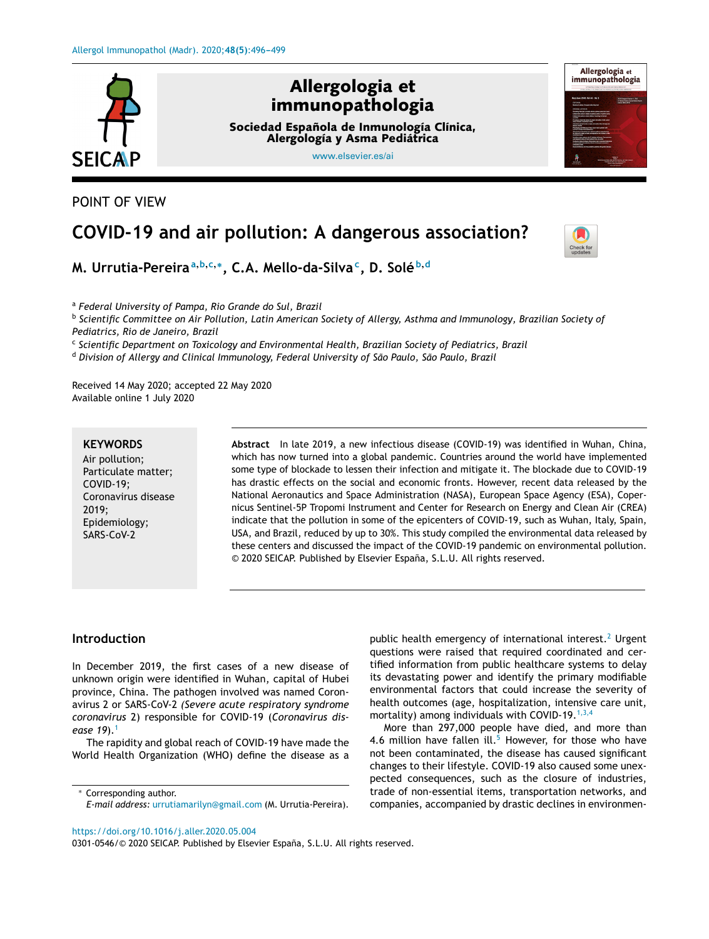

POINT OF VIEW

# **COVID-19 and air pollution: A dangerous association?**



**M. Urrutia-Pereira<sup>a</sup>**,**b**,**c**,<sup>∗</sup> **, C.A. Mello-da-Silva<sup>c</sup> , D. Solé <sup>b</sup>**,**<sup>d</sup>**

<sup>a</sup> *Federal University of Pampa, Rio Grande do Sul, Brazil*

<sup>b</sup> Scientific Committee on Air Pollution, Latin American Society of Allergy, Asthma and Immunology, Brazilian Society of *Pediatrics, Rio de Janeiro, Brazil*

c *Scientific Department on Toxicology and Environmental Health, Brazilian Society of Pediatrics, Brazil*

<sup>d</sup> *Division of Allergy and Clinical Immunology, Federal University of São Paulo, São Paulo, Brazil*

Received 14 May 2020; accepted 22 May 2020 Available online 1 July 2020

### **KEYWORDS**

Air pollution; Particulate matter; COVID-19; Coronavirus disease 2019; Epidemiology; SARS-CoV-2

**Abstract** In late 2019, a new infectious disease (COVID-19) was identified in Wuhan, China, which has now turned into a global pandemic. Countries around the world have implemented some type of blockade to lessen their infection and mitigate it. The blockade due to COVID-19 has drastic effects on the social and economic fronts. However, recent data released by the National Aeronautics and Space Administration (NASA), European Space Agency (ESA), Copernicus Sentinel-5P Tropomi Instrument and Center for Research on Energy and Clean Air (CREA) indicate that the pollution in some of the epicenters of COVID-19, such as Wuhan, Italy, Spain, USA, and Brazil, reduced by up to 30%. This study compiled the environmental data released by these centers and discussed the impact of the COVID-19 pandemic on environmental pollution. © 2020 SEICAP. Published by Elsevier España, S.L.U. All rights reserved.

## **Introduction**

In December 2019, the first cases of a new disease of unknown origin were identified in Wuhan, capital of Hubei province, China. The pathogen involved was named Coronavirus 2 or SARS-CoV-2 *(Severe acute respiratory syndrome coronavirus* 2) responsible for COVID-19 (*Coronavirus disease 19*).[1](#page-2-0)

The rapidity and global reach of COVID-19 have made the World Health Organization (WHO) define the disease as a

public health emergency of international interest.<sup>[2](#page-2-0)</sup> Urgent questions were raised that required coordinated and certified information from public healthcare systems to delay its devastating power and identify the primary modifiable environmental factors that could increase the severity of health outcomes (age, hospitalization, intensive care unit, mortality) among individuals with COVID-19. $1,3,4$ 

More than 297,000 people have died, and more than 4.6 million have fallen ill. $5$  However, for those who have not been contaminated, the disease has caused significant changes to their lifestyle. COVID-19 also caused some unexpected consequences, such as the closure of industries, trade of non-essential items, transportation networks, and companies, accompanied by drastic declines in environmen-

<https://doi.org/10.1016/j.aller.2020.05.004>

0301-0546/© 2020 SEICAP. Published by Elsevier España, S.L.U. All rights reserved.

<sup>∗</sup> Corresponding author. *E-mail address:* [urrutiamarilyn@gmail.com](mailto:urrutiamarilyn@gmail.com) (M. Urrutia-Pereira).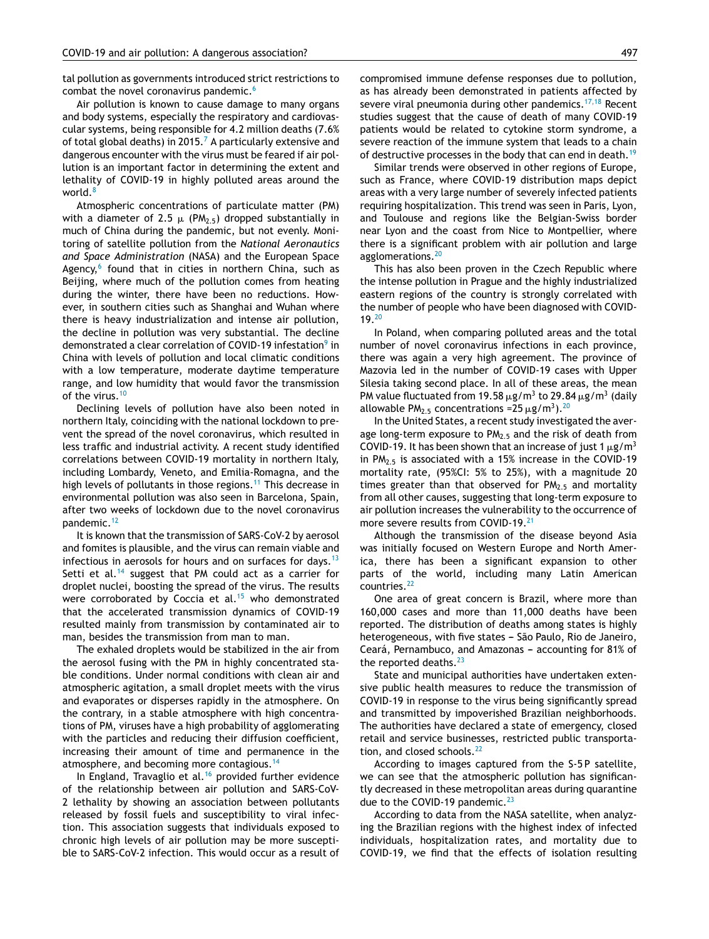tal pollution as governments introduced strict restrictions to combat the novel coronavirus pandemic.<sup>[6](#page-2-0)</sup>

Air pollution is known to cause damage to many organs and body systems, especially the respiratory and cardiovascular systems, being responsible for 4.2 million deaths (7.6% of total global deaths) in 2015.<sup>7</sup> [A](#page-3-0) particularly extensive and dangerous encounter with the virus must be feared if air pollution is an important factor in determining the extent and lethality of COVID-19 in highly polluted areas around the world.<sup>[8](#page-3-0)</sup>

Atmospheric concentrations of particulate matter (PM) with a diameter of 2.5  $\mu$  (PM $_{2.5})$  dropped substantially in much of China during the pandemic, but not evenly. Monitoring of satellite pollution from the *National Aeronautics and Space Administration* (NASA) and the European Space Agency,<sup>[6](#page-2-0)</sup> found that in cities in northern China, such as Beijing, where much of the pollution comes from heating during the winter, there have been no reductions. However, in southern cities such as Shanghai and Wuhan where there is heavy industrialization and intense air pollution, the decline in pollution was very substantial. The decline demonstrated a clear correlation of COVID-19 [in](#page-3-0)festation<sup>9</sup> in China with levels of pollution and local climatic conditions with a low temperature, moderate daytime temperature range, and low humidity that would favor the transmission of the virus.<sup>[10](#page-3-0)</sup>

Declining levels of pollution have also been noted in northern Italy, coinciding with the national lockdown to prevent the spread of the novel coronavirus, which resulted in less traffic and industrial activity. A recent study identified correlations between COVID-19 mortality in northern Italy, including Lombardy, Veneto, and Emilia-Romagna, and the high levels of pollutants in those regions.<sup>[11](#page-3-0)</sup> This decrease in environmental pollution was also seen in Barcelona, Spain, after two weeks of lockdown due to the novel coronavirus pandemic.<sup>[12](#page-3-0)</sup>

It is known that the transmission of SARS-CoV-2 by aerosol and fomites is plausible, and the virus can remain viable and infectious in aerosols for hours and on surfaces for days.<sup>[13](#page-3-0)</sup> Setti et al.<sup>[14](#page-3-0)</sup> suggest that PM could act as a carrier for droplet nuclei, boosting the spread of the virus. The results were corroborated by Coccia et al.<sup>[15](#page-3-0)</sup> who demonstrated that the accelerated transmission dynamics of COVID-19 resulted mainly from transmission by contaminated air to man, besides the transmission from man to man.

The exhaled droplets would be stabilized in the air from the aerosol fusing with the PM in highly concentrated stable conditions. Under normal conditions with clean air and atmospheric agitation, a small droplet meets with the virus and evaporates or disperses rapidly in the atmosphere. On the contrary, in a stable atmosphere with high concentrations of PM, viruses have a high probability of agglomerating with the particles and reducing their diffusion coefficient, increasing their amount of time and permanence in the atmosphere, and becoming more contagious.<sup>[14](#page-3-0)</sup>

In England, Travaglio et al. $16$  provided further evidence of the relationship between air pollution and SARS-CoV-2 lethality by showing an association between pollutants released by fossil fuels and susceptibility to viral infection. This association suggests that individuals exposed to chronic high levels of air pollution may be more susceptible to SARS-CoV-2 infection. This would occur as a result of compromised immune defense responses due to pollution, as has already been demonstrated in patients affected by severe viral pneumonia during other pandemics.<sup>[17,18](#page-3-0)</sup> Recent studies suggest that the cause of death of many COVID-19 patients would be related to cytokine storm syndrome, a severe reaction of the immune system that leads to a chain of destructive processes in the body that can end in death.<sup>[19](#page-3-0)</sup>

Similar trends were observed in other regions of Europe, such as France, where COVID-19 distribution maps depict areas with a very large number of severely infected patients requiring hospitalization. This trend was seen in Paris, Lyon, and Toulouse and regions like the Belgian-Swiss border near Lyon and the coast from Nice to Montpellier, where there is a significant problem with air pollution and large agglomerations.<sup>[20](#page-3-0)</sup>

This has also been proven in the Czech Republic where the intense pollution in Prague and the highly industrialized eastern regions of the country is strongly correlated with the number of people who have been diagnosed with COVID-19.[20](#page-3-0)

In Poland, when comparing polluted areas and the total number of novel coronavirus infections in each province, there was again a very high agreement. The province of Mazovia led in the number of COVID-19 cases with Upper Silesia taking second place. In all of these areas, the mean PM value fluctuated from 19.58  $\mu$ g/m<sup>3</sup> to 29.84  $\mu$ g/m<sup>3</sup> (daily allowable PM<sub>2.5</sub> concentrations =  $25 \mu g/m^3$ ). <sup>[20](#page-3-0)</sup>

In the United States, a recent study investigated the average long-term exposure to  $PM<sub>2.5</sub>$  and the risk of death from COVID-19. It has been shown that an increase of just 1  $\mu$ g/m<sup>3</sup> in  $PM<sub>2.5</sub>$  is associated with a 15% increase in the COVID-19 mortality rate, (95%CI: 5% to 25%), with a magnitude 20 times greater than that observed for  $PM<sub>2.5</sub>$  and mortality from all other causes, suggesting that long-term exposure to air pollution increases the vulnerability to the occurrence of more severe results from COVID-19.<sup>[21](#page-3-0)</sup>

Although the transmission of the disease beyond Asia was initially focused on Western Europe and North America, there has been a significant expansion to other parts of the world, including many Latin American countries.<sup>[22](#page-3-0)</sup>

One area of great concern is Brazil, where more than 160,000 cases and more than 11,000 deaths have been reported. The distribution of deaths among states is highly heterogeneous, with five states - São Paulo, Rio de Janeiro, Ceará, Pernambuco, and Amazonas - accounting for 81% of the reported deaths.<sup>[23](#page-3-0)</sup>

State and municipal authorities have undertaken extensive public health measures to reduce the transmission of COVID-19 in response to the virus being significantly spread and transmitted by impoverished Brazilian neighborhoods. The authorities have declared a state of emergency, closed retail and service businesses, restricted public transportation, and closed schools. $^{22}$  $^{22}$  $^{22}$ 

According to images captured from the S-5 P satellite, we can see that the atmospheric pollution has significantly decreased in these metropolitan areas during quarantine due to the COVID-19 pandemic. $^{23}$  $^{23}$  $^{23}$ 

According to data from the NASA satellite, when analyzing the Brazilian regions with the highest index of infected individuals, hospitalization rates, and mortality due to COVID-19, we find that the effects of isolation resulting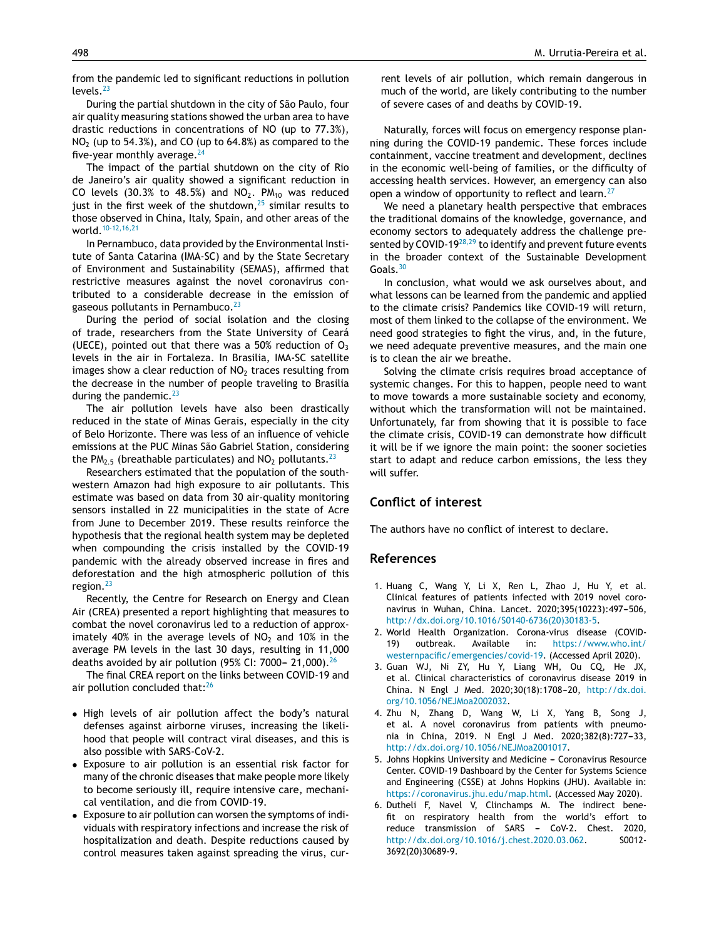<span id="page-2-0"></span>from the pandemic led to significant reductions in pollution levels. $^{23}$  $^{23}$  $^{23}$ 

During the partial shutdown in the city of São Paulo, four air quality measuring stations showed the urban area to have drastic reductions in concentrations of NO (up to 77.3%),  $NO<sub>2</sub>$  (up to 54.3%), and CO (up to 64.8%) as compared to the five-year monthly average.  $24$ 

The impact of the partial shutdown on the city of Rio de Janeiro's air quality showed a significant reduction in CO levels (30.3% to 48.5%) and  $NO<sub>2</sub>$ . PM<sub>10</sub> was reduced just in the first week of the shutdown, $25$  similar results to those observed in China, Italy, Spain, and other areas of the world.<sup>[10-12,16,21](#page-3-0)</sup>

In Pernambuco, data provided by the Environmental Institute of Santa Catarina (IMA-SC) and by the State Secretary of Environment and Sustainability (SEMAS), affirmed that restrictive measures against the novel coronavirus contributed to a considerable decrease in the emission of gaseous pollutants in Pernambuco.<sup>[23](#page-3-0)</sup>

During the period of social isolation and the closing of trade, researchers from the State University of Ceará (UECE), pointed out that there was a 50% reduction of  $O_3$ levels in the air in Fortaleza. In Brasilia, IMA-SC satellite images show a clear reduction of  $NO<sub>2</sub>$  traces resulting from the decrease in the number of people traveling to Brasilia during the pandemic. $^{23}$  $^{23}$  $^{23}$ 

The air pollution levels have also been drastically reduced in the state of Minas Gerais, especially in the city of Belo Horizonte. There was less of an influence of vehicle emissions at the PUC Minas São Gabriel Station, considering the PM<sub>2.5</sub> (breathable particulates) and  $NO<sub>2</sub>$  pollutants.<sup>[23](#page-3-0)</sup>

Researchers estimated that the population of the southwestern Amazon had high exposure to air pollutants. This estimate was based on data from 30 air-quality monitoring sensors installed in 22 municipalities in the state of Acre from June to December 2019. These results reinforce the hypothesis that the regional health system may be depleted when compounding the crisis installed by the COVID-19 pandemic with the already observed increase in fires and deforestation and the high atmospheric pollution of this region. $^{23}$  $^{23}$  $^{23}$ 

Recently, the Centre for Research on Energy and Clean Air (CREA) presented a report highlighting that measures to combat the novel coronavirus led to a reduction of approximately 40% in the average levels of  $NO<sub>2</sub>$  and 10% in the average PM levels in the last 30 days, resulting in 11,000 deaths avoided by air pollution (95% CI: 7000 - 21,000).<sup>[26](#page-3-0)</sup>

The final CREA report on the links between COVID-19 and air pollution concluded that:<sup>[26](#page-3-0)</sup>

- High levels of air pollution affect the body's natural defenses against airborne viruses, increasing the likelihood that people will contract viral diseases, and this is also possible with SARS-CoV-2.
- Exposure to air pollution is an essential risk factor for many of the chronic diseases that make people more likely to become seriously ill, require intensive care, mechanical ventilation, and die from COVID-19.
- Exposure to air pollution can worsen the symptoms of individuals with respiratory infections and increase the risk of hospitalization and death. Despite reductions caused by control measures taken against spreading the virus, cur-

rent levels of air pollution, which remain dangerous in much of the world, are likely contributing to the number of severe cases of and deaths by COVID-19.

Naturally, forces will focus on emergency response planning during the COVID-19 pandemic. These forces include containment, vaccine treatment and development, declines in the economic well-being of families, or the difficulty of accessing health services. However, an emergency can also open a window of opportunity to reflect and learn.<sup>[27](#page-3-0)</sup>

We need a planetary health perspective that embraces the traditional domains of the knowledge, governance, and economy sectors to adequately address the challenge presented by COVID-19 $^{28,29}$  $^{28,29}$  $^{28,29}$  to identify and prevent future events in the broader context of the Sustainable Development Goals.<sup>[30](#page-3-0)</sup>

In conclusion, what would we ask ourselves about, and what lessons can be learned from the pandemic and applied to the climate crisis? Pandemics like COVID-19 will return, most of them linked to the collapse of the environment. We need good strategies to fight the virus, and, in the future, we need adequate preventive measures, and the main one is to clean the air we breathe.

Solving the climate crisis requires broad acceptance of systemic changes. For this to happen, people need to want to move towards a more sustainable society and economy, without which the transformation will not be maintained. Unfortunately, far from showing that it is possible to face the climate crisis, COVID-19 can demonstrate how difficult it will be if we ignore the main point: the sooner societies start to adapt and reduce carbon emissions, the less they will suffer.

## **Conflict of interest**

The authors have no conflict of interest to declare.

#### **References**

- 1. Huang C, Wang Y, Li X, Ren L, Zhao J, Hu Y, et al. Clinical features of patients infected with 2019 novel coronavirus in Wuhan, China. Lancet. 2020;395(10223):497-506, [http://dx.doi.org/10.1016/S0140-6736\(20\)30183-5](dx.doi.org/10.1016/S0140-6736(20)30183-5).
- 2. World Health Organization. Corona-virus disease (COVID-19) outbreak. Available in: [https://www.who.int/](https://www.who.int/westernpacific/emergencies/covid-19) [westernpacific/emergencies/covid-19.](https://www.who.int/westernpacific/emergencies/covid-19) (Accessed April 2020).
- 3. Guan WJ, Ni ZY, Hu Y, Liang WH, Ou CQ, He JX, et al. Clinical characteristics of coronavirus disease 2019 in China. N Engl J Med. 2020;30(18):1708-20, [http://dx.doi.](dx.doi.org/10.1056/NEJMoa2002032) [org/10.1056/NEJMoa2002032.](dx.doi.org/10.1056/NEJMoa2002032)
- 4. Zhu N, Zhang D, Wang W, Li X, Yang B, Song J, et al. A novel coronavirus from patients with pneumonia in China, 2019. N Engl J Med. 2020;382(8):727-33, [http://dx.doi.org/10.1056/NEJMoa2001017](dx.doi.org/10.1056/NEJMoa2001017).
- 5. Johns Hopkins University and Medicine Coronavirus Resource Center. COVID-19 Dashboard by the Center for Systems Science and Engineering (CSSE) at Johns Hopkins (JHU). Available in: <https://coronavirus.jhu.edu/map.html>. (Accessed May 2020).
- 6. Dutheli F, Navel V, Clinchamps M. The indirect benefit on respiratory health from the world's effort to reduce transmission of SARS - CoV-2. Chest. 2020, [http://dx.doi.org/10.1016/j.chest.2020.03.062.](dx.doi.org/10.1016/j.chest.2020.03.062) S0012- 3692(20)30689-9.